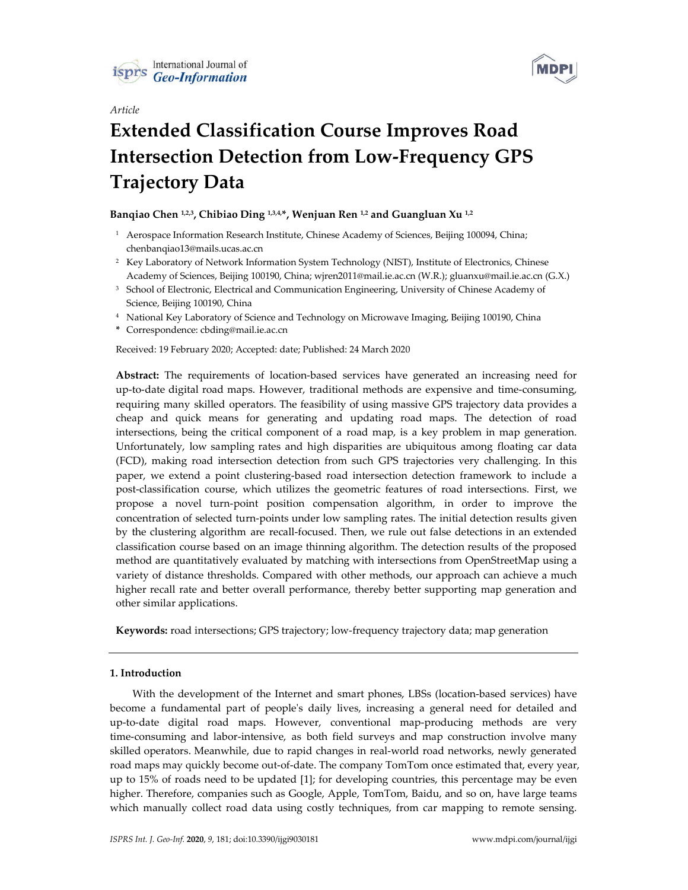

*Article*



# **Extended Classification Course Improves Road Intersection Detection from Low-Frequency GPS Trajectory Data**

# **Banqiao Chen 1,2,3, Chibiao Ding 1,3,4, \*, Wenjuan Ren 1,2 and Guangluan Xu 1,2**

- <sup>1</sup> Aerospace Information Research Institute, Chinese Academy of Sciences, Beijing 100094, China; chenbanqiao13@mails.ucas.ac.cn
- <sup>2</sup> Key Laboratory of Network Information System Technology (NIST), Institute of Electronics, Chinese Academy of Sciences, Beijing 100190, China; wjren2011@mail.ie.ac.cn (W.R.); gluanxu@mail.ie.ac.cn (G.X.)
- <sup>3</sup> School of Electronic, Electrical and Communication Engineering, University of Chinese Academy of Science, Beijing 100190, China
- <sup>4</sup> National Key Laboratory of Science and Technology on Microwave Imaging, Beijing 100190, China
- **\*** Correspondence: cbding@mail.ie.ac.cn

Received: 19 February 2020; Accepted: date; Published: 24 March 2020

**Abstract:** The requirements of location-based services have generated an increasing need for up-to-date digital road maps. However, traditional methods are expensive and time-consuming, requiring many skilled operators. The feasibility of using massive GPS trajectory data provides a cheap and quick means for generating and updating road maps. The detection of road intersections, being the critical component of a road map, is a key problem in map generation. Unfortunately, low sampling rates and high disparities are ubiquitous among floating car data (FCD), making road intersection detection from such GPS trajectories very challenging. In this paper, we extend a point clustering-based road intersection detection framework to include a post-classification course, which utilizes the geometric features of road intersections. First, we propose a novel turn-point position compensation algorithm, in order to improve the concentration of selected turn-points under low sampling rates. The initial detection results given by the clustering algorithm are recall-focused. Then, we rule out false detections in an extended classification course based on an image thinning algorithm. The detection results of the proposed method are quantitatively evaluated by matching with intersections from OpenStreetMap using a variety of distance thresholds. Compared with other methods, our approach can achieve a much higher recall rate and better overall performance, thereby better supporting map generation and other similar applications.

**Keywords:** road intersections; GPS trajectory; low-frequency trajectory data; map generation

# **1. Introduction**

With the development of the Internet and smart phones, LBSs (location-based services) have become a fundamental part of people's daily lives, increasing a general need for detailed and up-to-date digital road maps. However, conventional map-producing methods are very time-consuming and labor-intensive, as both field surveys and map construction involve many skilled operators. Meanwhile, due to rapid changes in real-world road networks, newly generated road maps may quickly become out-of-date. The company TomTom once estimated that, every year, up to 15% of roads need to be updated [1]; for developing countries, this percentage may be even higher. Therefore, companies such as Google, Apple, TomTom, Baidu, and so on, have large teams which manually collect road data using costly techniques, from car mapping to remote sensing.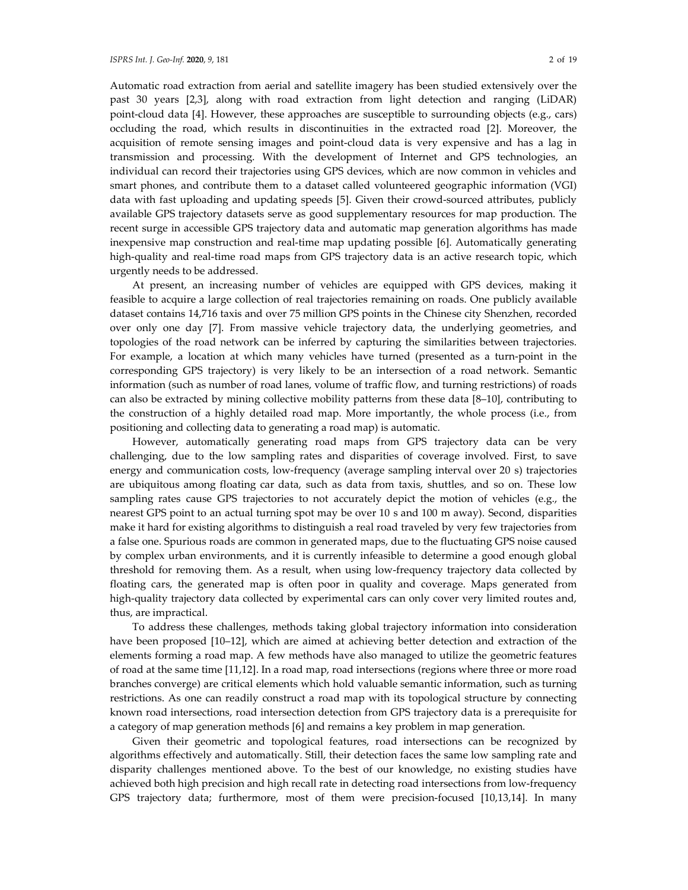Automatic road extraction from aerial and satellite imagery has been studied extensively over the past 30 years [2,3], along with road extraction from light detection and ranging (LiDAR) point-cloud data [4]. However, these approaches are susceptible to surrounding objects (e.g., cars) occluding the road, which results in discontinuities in the extracted road [2]. Moreover, the acquisition of remote sensing images and point-cloud data is very expensive and has a lag in transmission and processing. With the development of Internet and GPS technologies, an individual can record their trajectories using GPS devices, which are now common in vehicles and smart phones, and contribute them to a dataset called volunteered geographic information (VGI) data with fast uploading and updating speeds [5]. Given their crowd-sourced attributes, publicly available GPS trajectory datasets serve as good supplementary resources for map production. The recent surge in accessible GPS trajectory data and automatic map generation algorithms has made inexpensive map construction and real-time map updating possible [6]. Automatically generating high-quality and real-time road maps from GPS trajectory data is an active research topic, which urgently needs to be addressed.

At present, an increasing number of vehicles are equipped with GPS devices, making it feasible to acquire a large collection of real trajectories remaining on roads. One publicly available dataset contains 14,716 taxis and over 75 million GPS points in the Chinese city Shenzhen, recorded over only one day [7]. From massive vehicle trajectory data, the underlying geometries, and topologies of the road network can be inferred by capturing the similarities between trajectories. For example, a location at which many vehicles have turned (presented as a turn-point in the corresponding GPS trajectory) is very likely to be an intersection of a road network. Semantic information (such as number of road lanes, volume of traffic flow, and turning restrictions) of roads can also be extracted by mining collective mobility patterns from these data [8–10], contributing to the construction of a highly detailed road map. More importantly, the whole process (i.e., from positioning and collecting data to generating a road map) is automatic.

However, automatically generating road maps from GPS trajectory data can be very challenging, due to the low sampling rates and disparities of coverage involved. First, to save energy and communication costs, low-frequency (average sampling interval over 20 s) trajectories are ubiquitous among floating car data, such as data from taxis, shuttles, and so on. These low sampling rates cause GPS trajectories to not accurately depict the motion of vehicles (e.g., the nearest GPS point to an actual turning spot may be over 10 s and 100 m away). Second, disparities make it hard for existing algorithms to distinguish a real road traveled by very few trajectories from a false one. Spurious roads are common in generated maps, due to the fluctuating GPS noise caused by complex urban environments, and it is currently infeasible to determine a good enough global threshold for removing them. As a result, when using low-frequency trajectory data collected by floating cars, the generated map is often poor in quality and coverage. Maps generated from high-quality trajectory data collected by experimental cars can only cover very limited routes and, thus, are impractical.

To address these challenges, methods taking global trajectory information into consideration have been proposed [10–12], which are aimed at achieving better detection and extraction of the elements forming a road map. A few methods have also managed to utilize the geometric features of road at the same time [11,12]. In a road map, road intersections (regions where three or more road branches converge) are critical elements which hold valuable semantic information, such as turning restrictions. As one can readily construct a road map with its topological structure by connecting known road intersections, road intersection detection from GPS trajectory data is a prerequisite for a category of map generation methods [6] and remains a key problem in map generation.

Given their geometric and topological features, road intersections can be recognized by algorithms effectively and automatically. Still, their detection faces the same low sampling rate and disparity challenges mentioned above. To the best of our knowledge, no existing studies have achieved both high precision and high recall rate in detecting road intersections from low-frequency GPS trajectory data; furthermore, most of them were precision-focused [10,13,14]. In many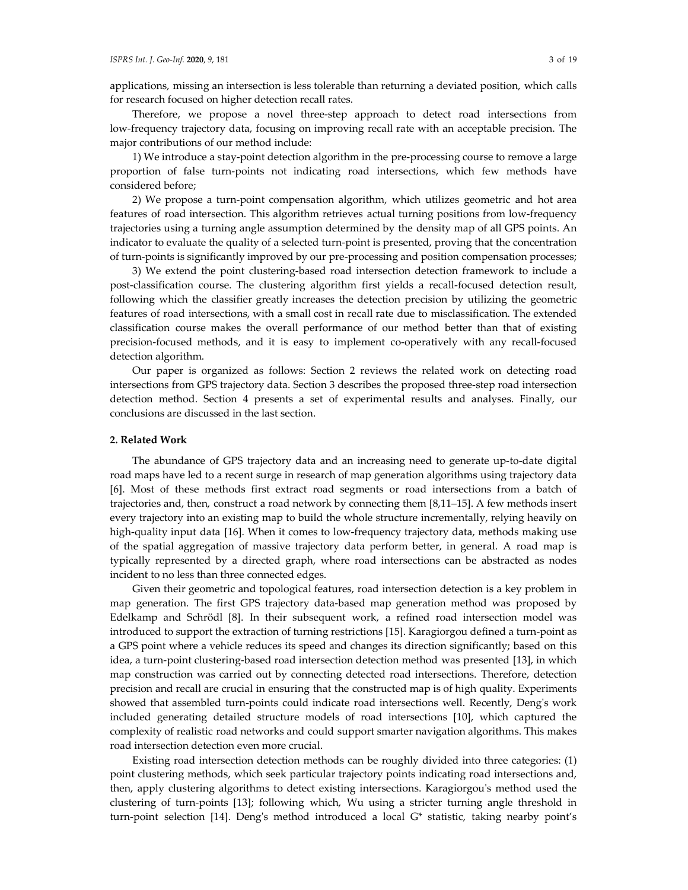for research focused on higher detection recall rates.

Therefore, we propose a novel three-step approach to detect road intersections from low-frequency trajectory data, focusing on improving recall rate with an acceptable precision. The major contributions of our method include:

1) We introduce a stay-point detection algorithm in the pre-processing course to remove a large proportion of false turn-points not indicating road intersections, which few methods have considered before;

2) We propose a turn-point compensation algorithm, which utilizes geometric and hot area features of road intersection. This algorithm retrieves actual turning positions from low-frequency trajectories using a turning angle assumption determined by the density map of all GPS points. An indicator to evaluate the quality of a selected turn-point is presented, proving that the concentration of turn-points is significantly improved by our pre-processing and position compensation processes;

3) We extend the point clustering-based road intersection detection framework to include a post-classification course. The clustering algorithm first yields a recall-focused detection result, following which the classifier greatly increases the detection precision by utilizing the geometric features of road intersections, with a small cost in recall rate due to misclassification. The extended classification course makes the overall performance of our method better than that of existing precision-focused methods, and it is easy to implement co-operatively with any recall-focused detection algorithm.

Our paper is organized as follows: Section 2 reviews the related work on detecting road intersections from GPS trajectory data. Section 3 describes the proposed three-step road intersection detection method. Section 4 presents a set of experimental results and analyses. Finally, our conclusions are discussed in the last section.

#### **2. Related Work**

The abundance of GPS trajectory data and an increasing need to generate up-to-date digital road maps have led to a recent surge in research of map generation algorithms using trajectory data [6]. Most of these methods first extract road segments or road intersections from a batch of trajectories and, then, construct a road network by connecting them [8,11–15]. A few methods insert every trajectory into an existing map to build the whole structure incrementally, relying heavily on high-quality input data [16]. When it comes to low-frequency trajectory data, methods making use of the spatial aggregation of massive trajectory data perform better, in general. A road map is typically represented by a directed graph, where road intersections can be abstracted as nodes incident to no less than three connected edges.

Given their geometric and topological features, road intersection detection is a key problem in map generation. The first GPS trajectory data-based map generation method was proposed by Edelkamp and Schrödl [8]. In their subsequent work, a refined road intersection model was introduced to support the extraction of turning restrictions [15]. Karagiorgou defined a turn-point as a GPS point where a vehicle reduces its speed and changes its direction significantly; based on this idea, a turn-point clustering-based road intersection detection method was presented [13], in which map construction was carried out by connecting detected road intersections. Therefore, detection precision and recall are crucial in ensuring that the constructed map is of high quality. Experiments showed that assembled turn-points could indicate road intersections well. Recently, Deng's work included generating detailed structure models of road intersections [10], which captured the complexity of realistic road networks and could support smarter navigation algorithms. This makes road intersection detection even more crucial.

Existing road intersection detection methods can be roughly divided into three categories: (1) point clustering methods, which seek particular trajectory points indicating road intersections and, then, apply clustering algorithms to detect existing intersections. Karagiorgou's method used the clustering of turn-points [13]; following which, Wu using a stricter turning angle threshold in turn-point selection [14]. Deng's method introduced a local G\* statistic, taking nearby point's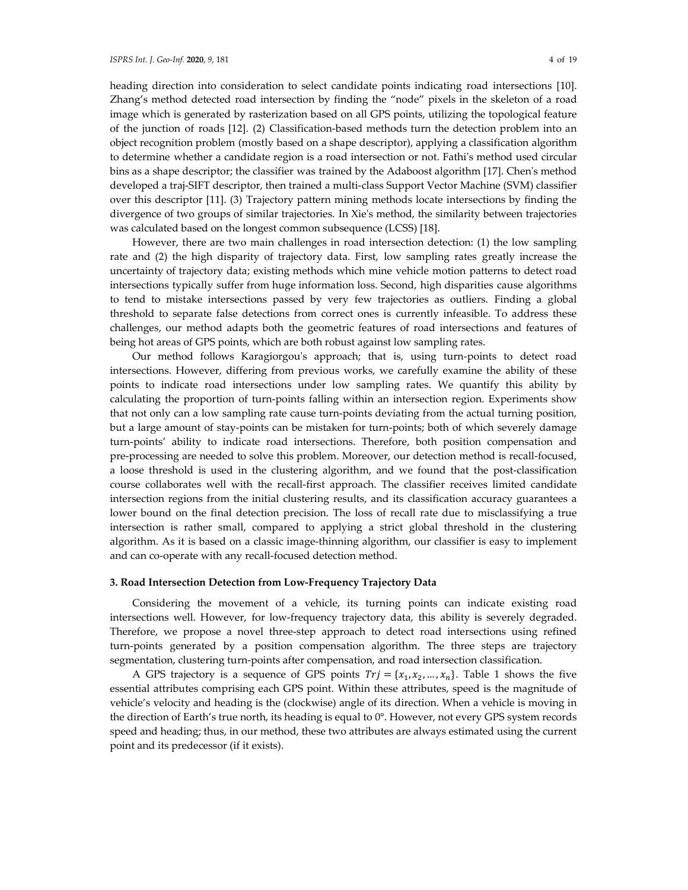heading direction into consideration to select candidate points indicating road intersections [10]. Zhang's method detected road intersection by finding the "node" pixels in the skeleton of a road image which is generated by rasterization based on all GPS points, utilizing the topological feature of the junction of roads [12]. (2) Classification-based methods turn the detection problem into an object recognition problem (mostly based on a shape descriptor), applying a classification algorithm to determine whether a candidate region is a road intersection or not. Fathi's method used circular bins as a shape descriptor; the classifier was trained by the Adaboost algorithm [17]. Chen's method developed a traj-SIFT descriptor, then trained a multi-class Support Vector Machine (SVM) classifier over this descriptor [11]. (3) Trajectory pattern mining methods locate intersections by finding the divergence of two groups of similar trajectories. In Xie's method, the similarity between trajectories was calculated based on the longest common subsequence (LCSS) [18].

However, there are two main challenges in road intersection detection: (1) the low sampling rate and (2) the high disparity of trajectory data. First, low sampling rates greatly increase the uncertainty of trajectory data; existing methods which mine vehicle motion patterns to detect road intersections typically suffer from huge information loss. Second, high disparities cause algorithms to tend to mistake intersections passed by very few trajectories as outliers. Finding a global threshold to separate false detections from correct ones is currently infeasible. To address these challenges, our method adapts both the geometric features of road intersections and features of being hot areas of GPS points, which are both robust against low sampling rates.

Our method follows Karagiorgou's approach; that is, using turn-points to detect road intersections. However, differing from previous works, we carefully examine the ability of these points to indicate road intersections under low sampling rates. We quantify this ability by calculating the proportion of turn-points falling within an intersection region. Experiments show that not only can a low sampling rate cause turn-points deviating from the actual turning position, but a large amount of stay-points can be mistaken for turn-points; both of which severely damage turn-points' ability to indicate road intersections. Therefore, both position compensation and pre-processing are needed to solve this problem. Moreover, our detection method is recall-focused, a loose threshold is used in the clustering algorithm, and we found that the post-classification course collaborates well with the recall-first approach. The classifier receives limited candidate intersection regions from the initial clustering results, and its classification accuracy guarantees a lower bound on the final detection precision. The loss of recall rate due to misclassifying a true intersection is rather small, compared to applying a strict global threshold in the clustering algorithm. As it is based on a classic image-thinning algorithm, our classifier is easy to implement and can co-operate with any recall-focused detection method.

#### **3. Road Intersection Detection from Low-Frequency Trajectory Data**

Considering the movement of a vehicle, its turning points can indicate existing road intersections well. However, for low-frequency trajectory data, this ability is severely degraded. Therefore, we propose a novel three-step approach to detect road intersections using refined turn-points generated by a position compensation algorithm. The three steps are trajectory segmentation, clustering turn-points after compensation, and road intersection classification.

A GPS trajectory is a sequence of GPS points  $Trj = \{x_1, x_2, ..., x_n\}$ . Table 1 shows the five essential attributes comprising each GPS point. Within these attributes, speed is the magnitude of vehicle's velocity and heading is the (clockwise) angle of its direction. When a vehicle is moving in the direction of Earth's true north, its heading is equal to 0°. However, not every GPS system records speed and heading; thus, in our method, these two attributes are always estimated using the current point and its predecessor (if it exists).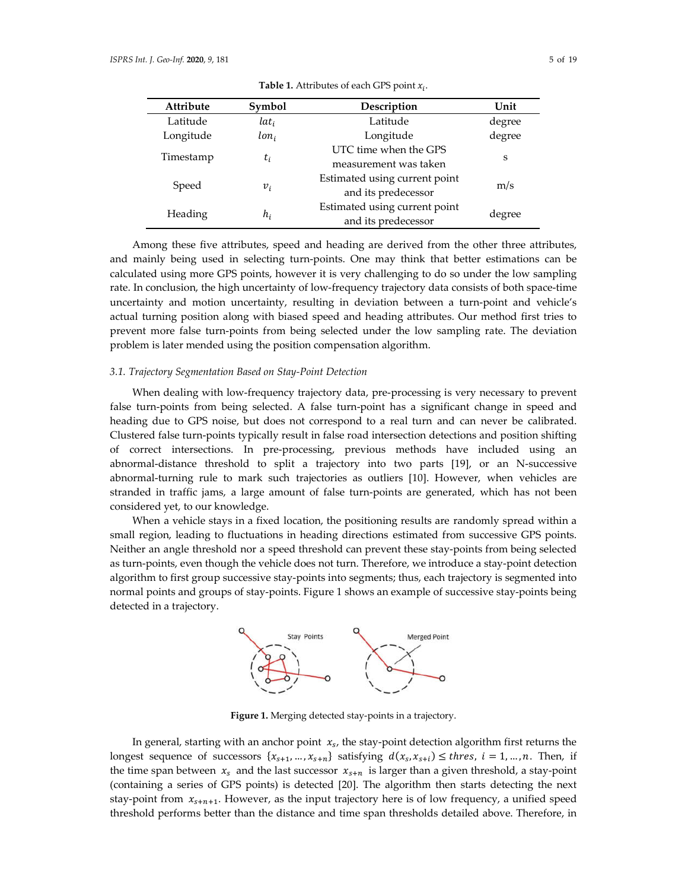| Attribute | Symbol  | Description                   | Unit   |
|-----------|---------|-------------------------------|--------|
| Latitude  | $lat_i$ | Latitude                      | degree |
| Longitude | $lon_i$ | Longitude                     | degree |
|           |         | UTC time when the GPS         | S      |
| Timestamp | $t_i$   | measurement was taken         |        |
| Speed     | $v_i$   | Estimated using current point |        |
|           |         | and its predecessor           | m/s    |
| Heading   |         | Estimated using current point |        |
|           | $h_i$   | and its predecessor           | degree |

**Table 1.** Attributes of each GPS point  $x_i$ .

Among these five attributes, speed and heading are derived from the other three attributes, and mainly being used in selecting turn-points. One may think that better estimations can be calculated using more GPS points, however it is very challenging to do so under the low sampling rate. In conclusion, the high uncertainty of low-frequency trajectory data consists of both space-time uncertainty and motion uncertainty, resulting in deviation between a turn-point and vehicle's actual turning position along with biased speed and heading attributes. Our method first tries to prevent more false turn-points from being selected under the low sampling rate. The deviation problem is later mended using the position compensation algorithm.

# *3.1. Trajectory Segmentation Based on Stay-Point Detection*

When dealing with low-frequency trajectory data, pre-processing is very necessary to prevent false turn-points from being selected. A false turn-point has a significant change in speed and heading due to GPS noise, but does not correspond to a real turn and can never be calibrated. Clustered false turn-points typically result in false road intersection detections and position shifting of correct intersections. In pre-processing, previous methods have included using an abnormal-distance threshold to split a trajectory into two parts [19], or an N-successive abnormal-turning rule to mark such trajectories as outliers [10]. However, when vehicles are stranded in traffic jams, a large amount of false turn-points are generated, which has not been considered yet, to our knowledge.

When a vehicle stays in a fixed location, the positioning results are randomly spread within a small region, leading to fluctuations in heading directions estimated from successive GPS points. Neither an angle threshold nor a speed threshold can prevent these stay-points from being selected as turn-points, even though the vehicle does not turn. Therefore, we introduce a stay-point detection algorithm to first group successive stay-points into segments; thus, each trajectory is segmented into normal points and groups of stay-points. Figure 1 shows an example of successive stay-points being detected in a trajectory.



**Figure 1.** Merging detected stay-points in a trajectory.

In general, starting with an anchor point  $x<sub>s</sub>$ , the stay-point detection algorithm first returns the longest sequence of successors  $\{x_{s+1}, ..., x_{s+n}\}\$  satisfying  $d(x_s, x_{s+i}) \leq thres$ ,  $i = 1, ..., n$ . Then, if the time span between  $x_s$  and the last successor  $x_{s+n}$  is larger than a given threshold, a stay-point (containing a series of GPS points) is detected [20]. The algorithm then starts detecting the next stay-point from  $x_{s+n+1}$ . However, as the input trajectory here is of low frequency, a unified speed threshold performs better than the distance and time span thresholds detailed above. Therefore, in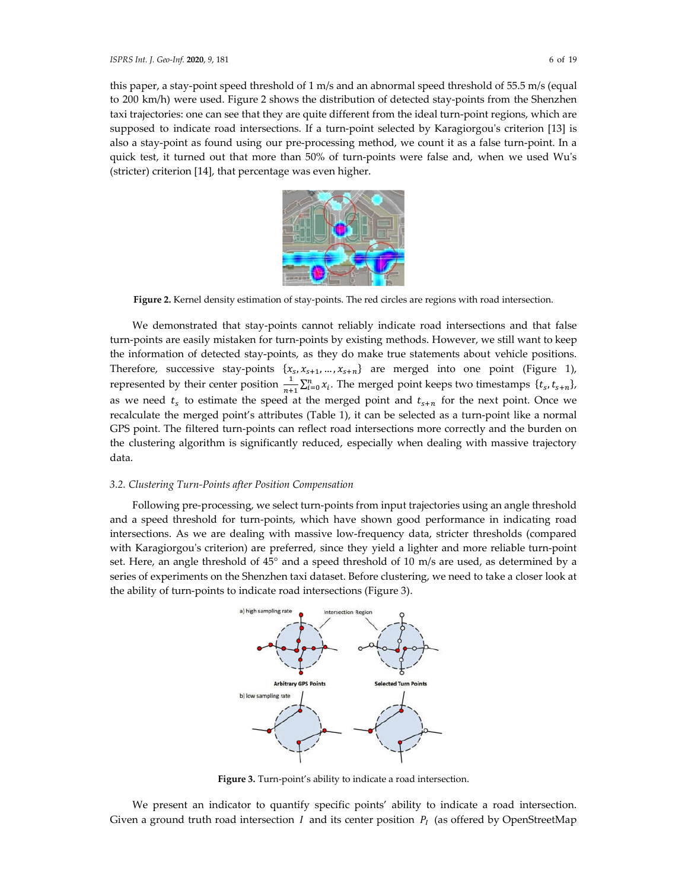this paper, a stay-point speed threshold of 1 m/s and an abnormal speed threshold of 55.5 m/s (equal to 200 km/h) were used. Figure 2 shows the distribution of detected stay-points from the Shenzhen taxi trajectories: one can see that they are quite different from the ideal turn-point regions, which are supposed to indicate road intersections. If a turn-point selected by Karagiorgou's criterion [13] is also a stay-point as found using our pre-processing method, we count it as a false turn-point. In a quick test, it turned out that more than 50% of turn-points were false and, when we used Wu's (stricter) criterion [14], that percentage was even higher.



**Figure 2.** Kernel density estimation of stay-points. The red circles are regions with road intersection.

We demonstrated that stay-points cannot reliably indicate road intersections and that false turn-points are easily mistaken for turn-points by existing methods. However, we still want to keep the information of detected stay-points, as they do make true statements about vehicle positions. Therefore, successive stay-points  $\{x_s, x_{s+1}, ..., x_{s+n}\}\$  are merged into one point (Figure 1), represented by their center position  $\frac{1}{n+1}\sum_{i=0}^{n}x_i$ . The merged point keeps two timestamps  $\{t_s, t_{s+n}\}$ , as we need  $t_s$  to estimate the speed at the merged point and  $t_{s+n}$  for the next point. Once we recalculate the merged point's attributes (Table 1), it can be selected as a turn-point like a normal GPS point. The filtered turn-points can reflect road intersections more correctly and the burden on the clustering algorithm is significantly reduced, especially when dealing with massive trajectory data.

#### *3.2. Clustering Turn-Points after Position Compensation*

Following pre-processing, we select turn-points from input trajectories using an angle threshold and a speed threshold for turn-points, which have shown good performance in indicating road intersections. As we are dealing with massive low-frequency data, stricter thresholds (compared with Karagiorgou's criterion) are preferred, since they yield a lighter and more reliable turn-point set. Here, an angle threshold of 45° and a speed threshold of 10 m/s are used, as determined by a series of experiments on the Shenzhen taxi dataset. Before clustering, we need to take a closer look at the ability of turn-points to indicate road intersections (Figure 3).



**Figure 3.** Turn-point's ability to indicate a road intersection.

We present an indicator to quantify specific points' ability to indicate a road intersection. Given a ground truth road intersection *I* and its center position  $P_I$  (as offered by OpenStreetMap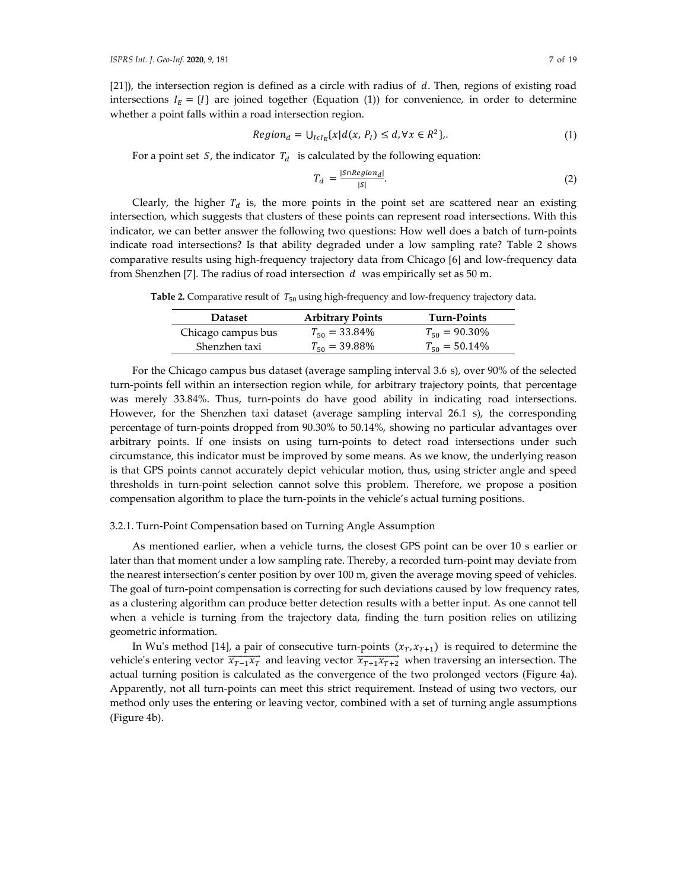[21]), the intersection region is defined as a circle with radius of  $d$ . Then, regions of existing road intersections  $I<sub>E</sub> = \{I\}$  are joined together (Equation (1)) for convenience, in order to determine whether a point falls within a road intersection region.

$$
Region_d = \bigcup_{I \in I_E} \{x | d(x, P_I) \le d, \forall x \in R^2\},\tag{1}
$$

For a point set S, the indicator  $T_d$  is calculated by the following equation:

$$
T_d = \frac{|S \cap Region_d|}{|S|}.
$$
 (2)

Clearly, the higher  $T_d$  is, the more points in the point set are scattered near an existing intersection, which suggests that clusters of these points can represent road intersections. With this indicator, we can better answer the following two questions: How well does a batch of turn-points indicate road intersections? Is that ability degraded under a low sampling rate? Table 2 shows comparative results using high-frequency trajectory data from Chicago [6] and low-frequency data from Shenzhen [7]. The radius of road intersection  $d$  was empirically set as 50 m.

**Table 2.** Comparative result of  $T_{50}$  using high-frequency and low-frequency trajectory data.

| <b>Dataset</b>     | <b>Arbitrary Points</b> | Turn-Points        |
|--------------------|-------------------------|--------------------|
| Chicago campus bus | $T_{50} = 33.84\%$      | $T_{50} = 90.30\%$ |
| Shenzhen taxi      | $T_{50} = 39.88\%$      | $T_{50} = 50.14\%$ |

For the Chicago campus bus dataset (average sampling interval 3.6 s), over 90% of the selected turn-points fell within an intersection region while, for arbitrary trajectory points, that percentage was merely 33.84%. Thus, turn-points do have good ability in indicating road intersections. However, for the Shenzhen taxi dataset (average sampling interval 26.1 s), the corresponding percentage of turn-points dropped from 90.30% to 50.14%, showing no particular advantages over arbitrary points. If one insists on using turn-points to detect road intersections under such circumstance, this indicator must be improved by some means. As we know, the underlying reason is that GPS points cannot accurately depict vehicular motion, thus, using stricter angle and speed thresholds in turn-point selection cannot solve this problem. Therefore, we propose a position compensation algorithm to place the turn-points in the vehicle's actual turning positions.

#### 3.2.1. Turn-Point Compensation based on Turning Angle Assumption

As mentioned earlier, when a vehicle turns, the closest GPS point can be over 10 s earlier or later than that moment under a low sampling rate. Thereby, a recorded turn-point may deviate from the nearest intersection's center position by over 100 m, given the average moving speed of vehicles. The goal of turn-point compensation is correcting for such deviations caused by low frequency rates, as a clustering algorithm can produce better detection results with a better input. As one cannot tell when a vehicle is turning from the trajectory data, finding the turn position relies on utilizing geometric information.

In Wu's method [14], a pair of consecutive turn-points  $(x_T, x_{T+1})$  is required to determine the vehicle's entering vector  $\overline{x_{T-1}x_T}$  and leaving vector  $\overline{x_{T+1}x_{T+2}}$  when traversing an intersection. The actual turning position is calculated as the convergence of the two prolonged vectors (Figure 4a). Apparently, not all turn-points can meet this strict requirement. Instead of using two vectors, our method only uses the entering or leaving vector, combined with a set of turning angle assumptions (Figure 4b).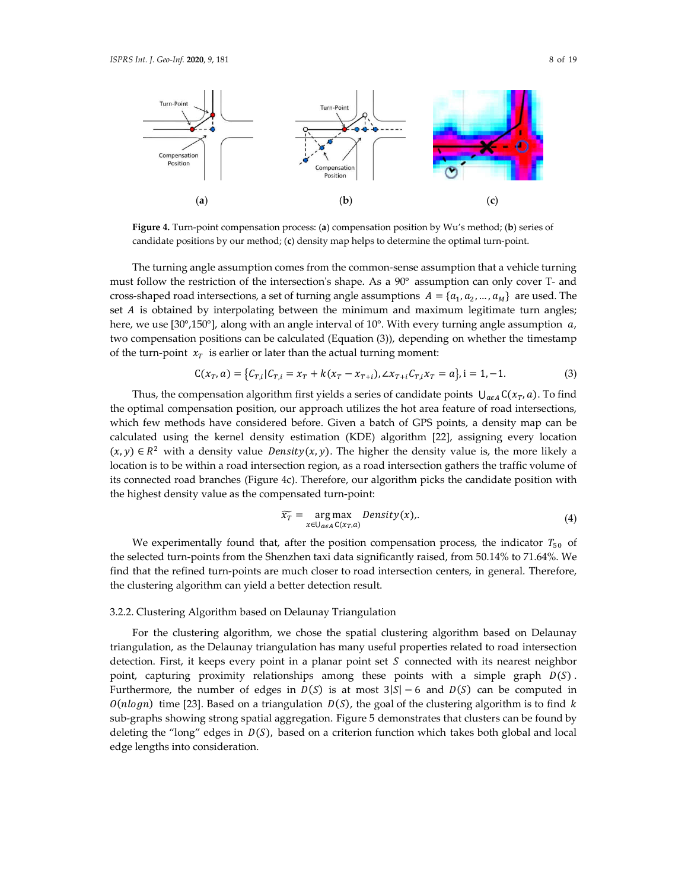

**Figure 4.** Turn-point compensation process: (**a**) compensation position by Wu's method; (**b**) series of candidate positions by our method; (**c**) density map helps to determine the optimal turn-point.

The turning angle assumption comes from the common-sense assumption that a vehicle turning must follow the restriction of the intersection's shape. As a 90° assumption can only cover T- and cross-shaped road intersections, a set of turning angle assumptions  $A = \{a_1, a_2, ..., a_M\}$  are used. The set  $\vec{A}$  is obtained by interpolating between the minimum and maximum legitimate turn angles; here, we use  $[30^{\circ},150^{\circ}]$ , along with an angle interval of 10°. With every turning angle assumption  $a$ , two compensation positions can be calculated (Equation (3)), depending on whether the timestamp of the turn-point  $x_T$  is earlier or later than the actual turning moment:

$$
C(x_T, a) = \{C_{T,i}|C_{T,i} = x_T + k(x_T - x_{T+i}), \angle x_{T+i}C_{T,i}x_T = a\}, i = 1, -1.
$$
\n(3)

Thus, the compensation algorithm first yields a series of candidate points  $\bigcup_{a \in A} C(x_T, a)$ . To find the optimal compensation position, our approach utilizes the hot area feature of road intersections, which few methods have considered before. Given a batch of GPS points, a density map can be calculated using the kernel density estimation (KDE) algorithm [22], assigning every location  $(x, y) \in R^2$  with a density value *Density* $(x, y)$ . The higher the density value is, the more likely a location is to be within a road intersection region, as a road intersection gathers the traffic volume of its connected road branches (Figure 4c). Therefore, our algorithm picks the candidate position with the highest density value as the compensated turn-point:

$$
\widetilde{x_T} = \underset{x \in \bigcup_{a \in A} C(x_T, a)}{\arg \max} Density(x), \tag{4}
$$

We experimentally found that, after the position compensation process, the indicator  $T_{50}$  of the selected turn-points from the Shenzhen taxi data significantly raised, from 50.14% to 71.64%. We find that the refined turn-points are much closer to road intersection centers, in general. Therefore, the clustering algorithm can yield a better detection result.

## 3.2.2. Clustering Algorithm based on Delaunay Triangulation

For the clustering algorithm, we chose the spatial clustering algorithm based on Delaunay triangulation, as the Delaunay triangulation has many useful properties related to road intersection detection. First, it keeps every point in a planar point set  $S$  connected with its nearest neighbor point, capturing proximity relationships among these points with a simple graph  $D(S)$ . Furthermore, the number of edges in  $D(S)$  is at most  $3|S| - 6$  and  $D(S)$  can be computed in  $O(nlog n)$  time [23]. Based on a triangulation  $D(S)$ , the goal of the clustering algorithm is to find k sub-graphs showing strong spatial aggregation. Figure 5 demonstrates that clusters can be found by deleting the "long" edges in  $D(S)$ , based on a criterion function which takes both global and local edge lengths into consideration.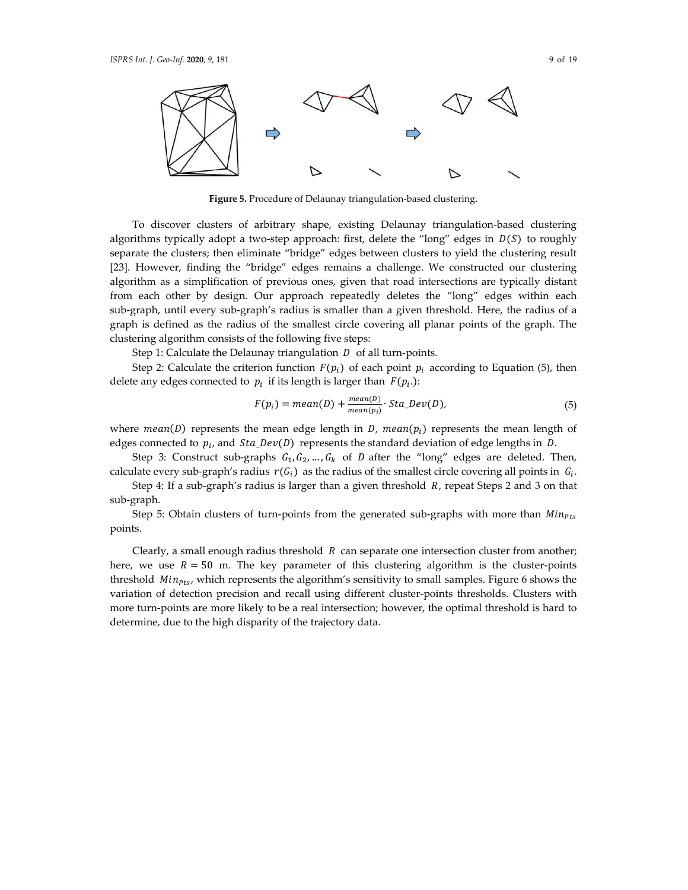



**Figure 5.** Procedure of Delaunay triangulation-based clustering.

To discover clusters of arbitrary shape, existing Delaunay triangulation-based clustering algorithms typically adopt a two-step approach: first, delete the "long" edges in  $D(S)$  to roughly separate the clusters; then eliminate "bridge" edges between clusters to yield the clustering result [23]. However, finding the "bridge" edges remains a challenge. We constructed our clustering algorithm as a simplification of previous ones, given that road intersections are typically distant from each other by design. Our approach repeatedly deletes the "long" edges within each sub-graph, until every sub-graph's radius is smaller than a given threshold. Here, the radius of a graph is defined as the radius of the smallest circle covering all planar points of the graph. The clustering algorithm consists of the following five steps:

Step 1: Calculate the Delaunay triangulation  $D$  of all turn-points.

Step 2: Calculate the criterion function  $F(p_i)$  of each point  $p_i$  according to Equation (5), then delete any edges connected to  $p_i$  if its length is larger than  $F(p_i)$ :

$$
F(p_i) = mean(D) + \frac{mean(D)}{mean(p_i)} \cdot Sta\_Dev(D),
$$
\n(5)

where mean(D) represents the mean edge length in D, mean( $p_i$ ) represents the mean length of edges connected to  $p_i$ , and  $Sta\_Dev(D)$  represents the standard deviation of edge lengths in D.

Step 3: Construct sub-graphs  $G_1, G_2, ..., G_k$  of *D* after the "long" edges are deleted. Then, calculate every sub-graph's radius  $r(G_i)$  as the radius of the smallest circle covering all points in  $G_i$ .

Step 4: If a sub-graph's radius is larger than a given threshold  $R$ , repeat Steps 2 and 3 on that sub-graph.

Step 5: Obtain clusters of turn-points from the generated sub-graphs with more than  $Min_{Pts}$ points.

Clearly, a small enough radius threshold  $R$  can separate one intersection cluster from another; here, we use  $R = 50$  m. The key parameter of this clustering algorithm is the cluster-points threshold Min<sub>Pts</sub>, which represents the algorithm's sensitivity to small samples. Figure 6 shows the variation of detection precision and recall using different cluster-points thresholds. Clusters with more turn-points are more likely to be a real intersection; however, the optimal threshold is hard to determine, due to the high disparity of the trajectory data.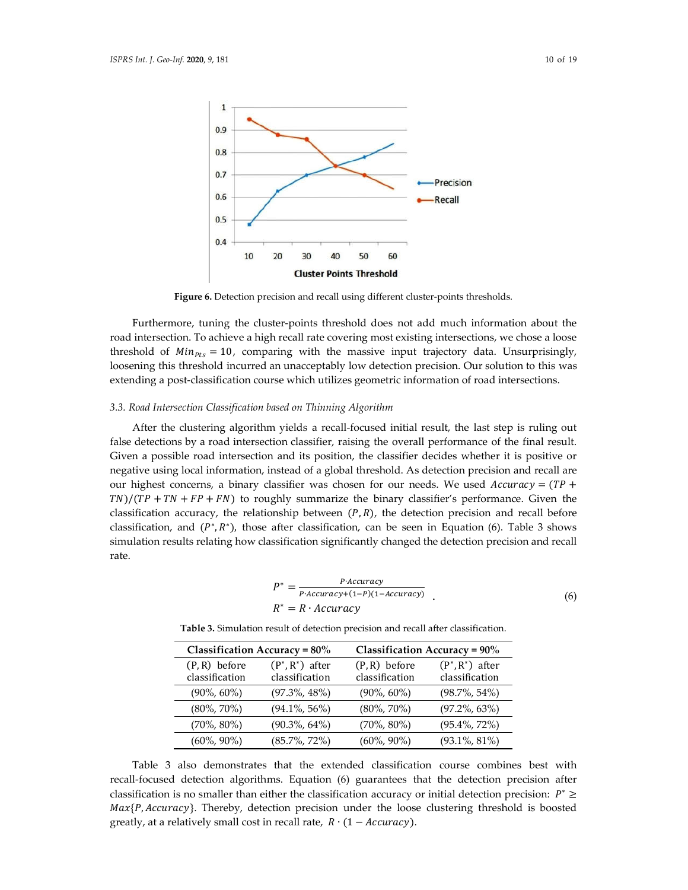

**Figure 6.** Detection precision and recall using different cluster-points thresholds.

Furthermore, tuning the cluster-points threshold does not add much information about the road intersection. To achieve a high recall rate covering most existing intersections, we chose a loose threshold of  $Min_{pts} = 10$ , comparing with the massive input trajectory data. Unsurprisingly, loosening this threshold incurred an unacceptably low detection precision. Our solution to this was extending a post-classification course which utilizes geometric information of road intersections.

# *3.3. Road Intersection Classification based on Thinning Algorithm*

After the clustering algorithm yields a recall-focused initial result, the last step is ruling out false detections by a road intersection classifier, raising the overall performance of the final result. Given a possible road intersection and its position, the classifier decides whether it is positive or negative using local information, instead of a global threshold. As detection precision and recall are our highest concerns, a binary classifier was chosen for our needs. We used  $Accuracy = (TP +$  $TN$ )/( $TP + TN + FP + FN$ ) to roughly summarize the binary classifier's performance. Given the classification accuracy, the relationship between  $(P, R)$ , the detection precision and recall before classification, and  $(P^*, R^*)$ , those after classification, can be seen in Equation (6). Table 3 shows simulation results relating how classification significantly changed the detection precision and recall rate.

$$
P^* = \frac{P \cdot Accuracy}{P \cdot Accuracy + (1 - P)(1 - Accuracy)} \tag{6}
$$
  

$$
R^* = R \cdot Accuracy
$$

| <b>Classification Accuracy = 80%</b> |                                      | <b>Classification Accuracy = 90%</b> |                                      |  |
|--------------------------------------|--------------------------------------|--------------------------------------|--------------------------------------|--|
| $(P, R)$ before<br>classification    | $(P^*, R^*)$ after<br>classification | $(P, R)$ before<br>classification    | $(P^*, R^*)$ after<br>classification |  |
| $(90\%, 60\%)$                       | $(97.3\%, 48\%)$                     | $(90\%, 60\%)$                       | $(98.7\%, 54\%)$                     |  |
| $(80\%, 70\%)$                       | $(94.1\%, 56\%)$                     | $(80\%, 70\%)$                       | $(97.2\%, 63\%)$                     |  |
| $(70\%, 80\%)$                       | $(90.3\%, 64\%)$                     | $(70\%, 80\%)$                       | $(95.4\%, 72\%)$                     |  |
| $(60\%, 90\%)$                       | $(85.7\%, 72\%)$                     | $(60\%, 90\%)$                       | $(93.1\%, 81\%)$                     |  |

**Table 3.** Simulation result of detection precision and recall after classification.

Table 3 also demonstrates that the extended classification course combines best with recall-focused detection algorithms. Equation (6) guarantees that the detection precision after classification is no smaller than either the classification accuracy or initial detection precision:  $P^* \geq$  $Max\{P, Accuracy\}$ . Thereby, detection precision under the loose clustering threshold is boosted greatly, at a relatively small cost in recall rate,  $R \cdot (1 - Accuracy)$ .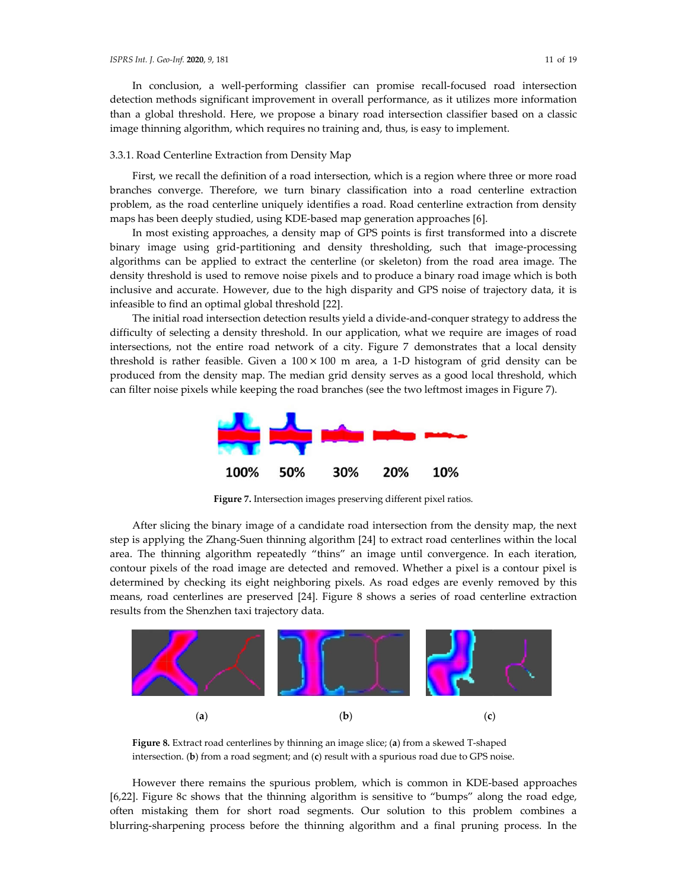In conclusion, a well-performing classifier can promise recall-focused road intersection detection methods significant improvement in overall performance, as it utilizes more information than a global threshold. Here, we propose a binary road intersection classifier based on a classic image thinning algorithm, which requires no training and, thus, is easy to implement.

# 3.3.1. Road Centerline Extraction from Density Map

First, we recall the definition of a road intersection, which is a region where three or more road branches converge. Therefore, we turn binary classification into a road centerline extraction problem, as the road centerline uniquely identifies a road. Road centerline extraction from density maps has been deeply studied, using KDE-based map generation approaches [6].

In most existing approaches, a density map of GPS points is first transformed into a discrete binary image using grid-partitioning and density thresholding, such that image-processing algorithms can be applied to extract the centerline (or skeleton) from the road area image. The density threshold is used to remove noise pixels and to produce a binary road image which is both inclusive and accurate. However, due to the high disparity and GPS noise of trajectory data, it is infeasible to find an optimal global threshold [22].

The initial road intersection detection results yield a divide-and-conquer strategy to address the difficulty of selecting a density threshold. In our application, what we require are images of road intersections, not the entire road network of a city. Figure 7 demonstrates that a local density threshold is rather feasible. Given a  $100 \times 100$  m area, a 1-D histogram of grid density can be produced from the density map. The median grid density serves as a good local threshold, which can filter noise pixels while keeping the road branches (see the two leftmost images in Figure 7).



**Figure 7.** Intersection images preserving different pixel ratios.

After slicing the binary image of a candidate road intersection from the density map, the next step is applying the Zhang-Suen thinning algorithm [24] to extract road centerlines within the local area. The thinning algorithm repeatedly "thins" an image until convergence. In each iteration, contour pixels of the road image are detected and removed. Whether a pixel is a contour pixel is determined by checking its eight neighboring pixels. As road edges are evenly removed by this means, road centerlines are preserved [24]. Figure 8 shows a series of road centerline extraction results from the Shenzhen taxi trajectory data.



**Figure 8.** Extract road centerlines by thinning an image slice; (**a**) from a skewed T-shaped intersection. (**b**) from a road segment; and (**c**) result with a spurious road due to GPS noise.

However there remains the spurious problem, which is common in KDE-based approaches [6,22]. Figure 8c shows that the thinning algorithm is sensitive to "bumps" along the road edge, often mistaking them for short road segments. Our solution to this problem combines a blurring-sharpening process before the thinning algorithm and a final pruning process. In the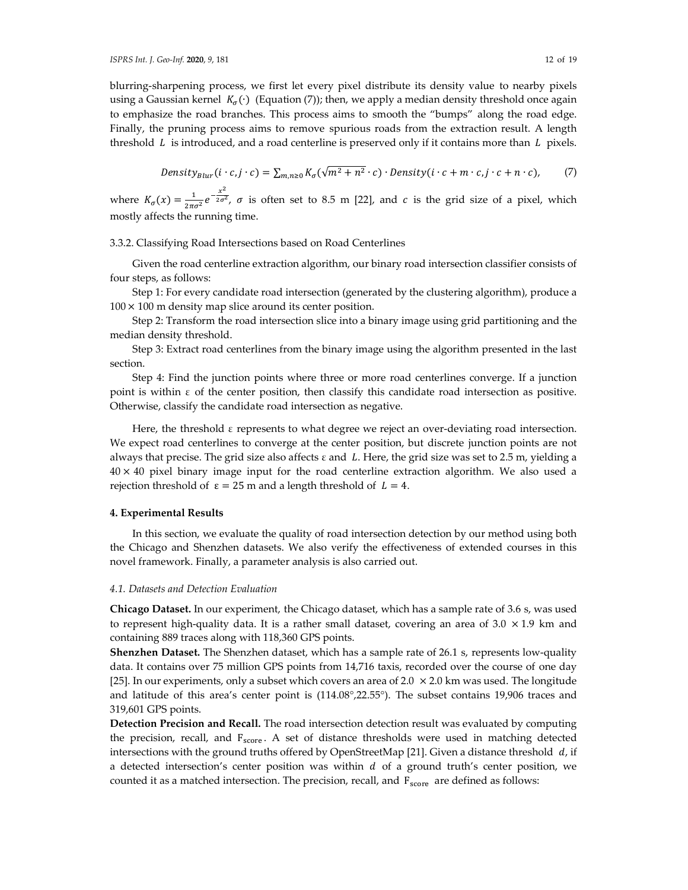blurring-sharpening process, we first let every pixel distribute its density value to nearby pixels using a Gaussian kernel  $K_{\sigma}(\cdot)$  (Equation (7)); then, we apply a median density threshold once again to emphasize the road branches. This process aims to smooth the "bumps" along the road edge. Finally, the pruning process aims to remove spurious roads from the extraction result. A length threshold  $L$  is introduced, and a road centerline is preserved only if it contains more than  $L$  pixels.

$$
Density_{Blur}(i \cdot c, j \cdot c) = \sum_{m,n \ge 0} K_{\sigma}(\sqrt{m^2 + n^2} \cdot c) \cdot Density(i \cdot c + m \cdot c, j \cdot c + n \cdot c), \tag{7}
$$

where  $K_{\sigma}(x) = \frac{1}{2\pi\sigma^2} e^{-\frac{x^2}{2\sigma^2}}$ ,  $\sigma$  is often set to 8.5 m [22], and c is the grid size of a pixel, which mostly affects the running time.

#### 3.3.2. Classifying Road Intersections based on Road Centerlines

Given the road centerline extraction algorithm, our binary road intersection classifier consists of four steps, as follows:

Step 1: For every candidate road intersection (generated by the clustering algorithm), produce a  $100 \times 100$  m density map slice around its center position.

Step 2: Transform the road intersection slice into a binary image using grid partitioning and the median density threshold.

Step 3: Extract road centerlines from the binary image using the algorithm presented in the last section.

Step 4: Find the junction points where three or more road centerlines converge. If a junction point is within ε of the center position, then classify this candidate road intersection as positive. Otherwise, classify the candidate road intersection as negative.

Here, the threshold ε represents to what degree we reject an over-deviating road intersection. We expect road centerlines to converge at the center position, but discrete junction points are not always that precise. The grid size also affects  $ε$  and  $L$ . Here, the grid size was set to 2.5 m, yielding a  $40 \times 40$  pixel binary image input for the road centerline extraction algorithm. We also used a rejection threshold of  $\varepsilon = 25$  m and a length threshold of  $L = 4$ .

# **4. Experimental Results**

In this section, we evaluate the quality of road intersection detection by our method using both the Chicago and Shenzhen datasets. We also verify the effectiveness of extended courses in this novel framework. Finally, a parameter analysis is also carried out.

#### *4.1. Datasets and Detection Evaluation*

**Chicago Dataset.** In our experiment, the Chicago dataset, which has a sample rate of 3.6 s, was used to represent high-quality data. It is a rather small dataset, covering an area of  $3.0 \times 1.9$  km and containing 889 traces along with 118,360 GPS points.

**Shenzhen Dataset.** The Shenzhen dataset, which has a sample rate of 26.1 s, represents low-quality data. It contains over 75 million GPS points from 14,716 taxis, recorded over the course of one day [25]. In our experiments, only a subset which covers an area of  $2.0 \times 2.0$  km was used. The longitude and latitude of this area's center point is (114.08°,22.55°). The subset contains 19,906 traces and 319,601 GPS points.

**Detection Precision and Recall.** The road intersection detection result was evaluated by computing the precision, recall, and  $F_{score}$ . A set of distance thresholds were used in matching detected intersections with the ground truths offered by OpenStreetMap [21]. Given a distance threshold  $d$ , if a detected intersection's center position was within  $d$  of a ground truth's center position, we counted it as a matched intersection. The precision, recall, and  $F_{score}$  are defined as follows: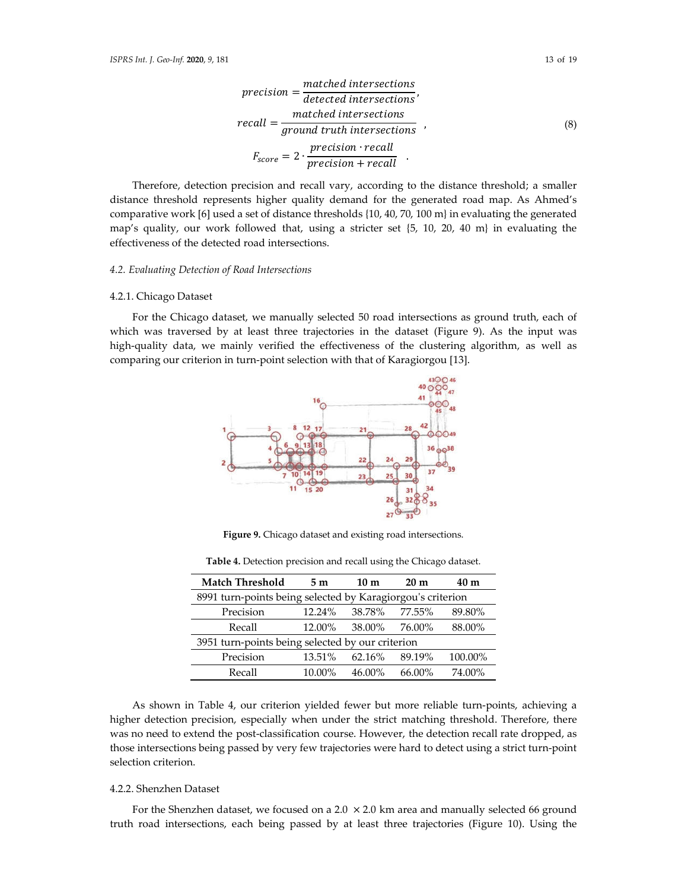$$
precision = \frac{matched\ intersections}{detected\ intersections},
$$
\n
$$
recall = \frac{matched\ intersections}{ground\ truth\ intersections},
$$
\n
$$
F_{score} = 2 \cdot \frac{precision \cdot recall}{precision + recall}.
$$
\n(8)

Therefore, detection precision and recall vary, according to the distance threshold; a smaller distance threshold represents higher quality demand for the generated road map. As Ahmed's comparative work [6] used a set of distance thresholds  $\{10, 40, 70, 100 \text{ m}\}\$  in evaluating the generated map's quality, our work followed that, using a stricter set  $\{5, 10, 20, 40 \text{ m}\}\$  in evaluating the effectiveness of the detected road intersections.

#### *4.2. Evaluating Detection of Road Intersections*

## 4.2.1. Chicago Dataset

For the Chicago dataset, we manually selected 50 road intersections as ground truth, each of which was traversed by at least three trajectories in the dataset (Figure 9). As the input was high-quality data, we mainly verified the effectiveness of the clustering algorithm, as well as comparing our criterion in turn-point selection with that of Karagiorgou [13].



**Figure 9.** Chicago dataset and existing road intersections.

| <b>Match Threshold</b>                                     | 5 <sub>m</sub> | 10 <sub>m</sub> | 20 <sub>m</sub> | 40 <sub>m</sub> |  |
|------------------------------------------------------------|----------------|-----------------|-----------------|-----------------|--|
| 8991 turn-points being selected by Karagiorgou's criterion |                |                 |                 |                 |  |
| Precision                                                  | 12.24%         | 38.78%          | 77.55%          | 89.80%          |  |
| Recall                                                     | 12.00%         | 38.00%          | 76.00%          | 88.00%          |  |
| 3951 turn-points being selected by our criterion           |                |                 |                 |                 |  |
| Precision                                                  | 13.51%         | $62.16\%$       | 89.19%          | 100.00%         |  |
| Recall                                                     | 10.00%         | $46.00\%$       | 66.00%          | 74.00%          |  |

**Table 4.** Detection precision and recall using the Chicago dataset.

As shown in Table 4, our criterion yielded fewer but more reliable turn-points, achieving a higher detection precision, especially when under the strict matching threshold. Therefore, there was no need to extend the post-classification course. However, the detection recall rate dropped, as those intersections being passed by very few trajectories were hard to detect using a strict turn-point selection criterion.

#### 4.2.2. Shenzhen Dataset

For the Shenzhen dataset, we focused on a 2.0  $\times$  2.0 km area and manually selected 66 ground truth road intersections, each being passed by at least three trajectories (Figure 10). Using the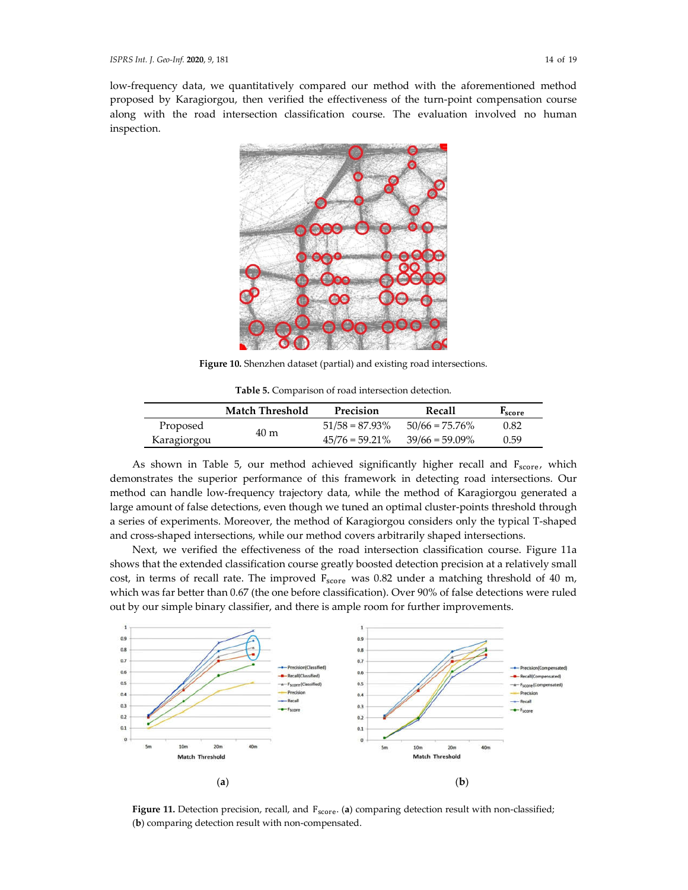low-frequency data, we quantitatively compared our method with the aforementioned method proposed by Karagiorgou, then verified the effectiveness of the turn-point compensation course along with the road intersection classification course. The evaluation involved no human inspection.



**Figure 10.** Shenzhen dataset (partial) and existing road intersections.

**Table 5.** Comparison of road intersection detection.

|             | Match Threshold | Precision         | Recall            | 'score |
|-------------|-----------------|-------------------|-------------------|--------|
| Proposed    | 40 m            | $51/58 = 87.93\%$ | $50/66 = 75.76\%$ | 0.82   |
| Karagiorgou |                 | $45/76 = 59.21\%$ | $39/66 = 59.09\%$ | 0.59   |

As shown in Table 5, our method achieved significantly higher recall and  $F_{\text{score}}$ , which demonstrates the superior performance of this framework in detecting road intersections. Our method can handle low-frequency trajectory data, while the method of Karagiorgou generated a large amount of false detections, even though we tuned an optimal cluster-points threshold through a series of experiments. Moreover, the method of Karagiorgou considers only the typical T-shaped and cross-shaped intersections, while our method covers arbitrarily shaped intersections.

Next, we verified the effectiveness of the road intersection classification course. Figure 11a shows that the extended classification course greatly boosted detection precision at a relatively small cost, in terms of recall rate. The improved  $F_{score}$  was 0.82 under a matching threshold of 40 m, which was far better than 0.67 (the one before classification). Over 90% of false detections were ruled out by our simple binary classifier, and there is ample room for further improvements.



Figure 11. Detection precision, recall, and F<sub>score</sub>. (a) comparing detection result with non-classified; (**b**) comparing detection result with non-compensated.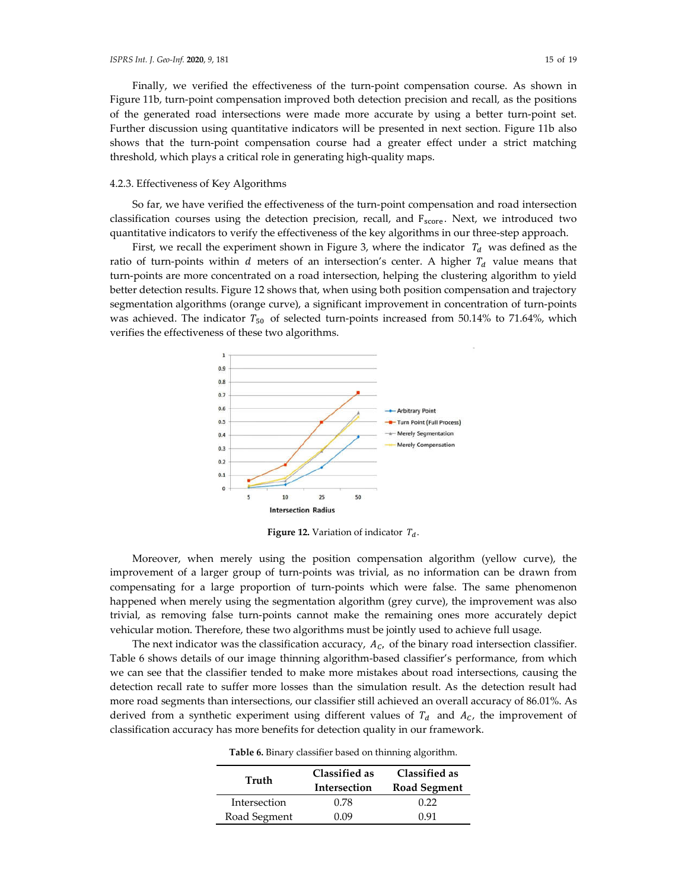Finally, we verified the effectiveness of the turn-point compensation course. As shown in Figure 11b, turn-point compensation improved both detection precision and recall, as the positions of the generated road intersections were made more accurate by using a better turn-point set. Further discussion using quantitative indicators will be presented in next section. Figure 11b also shows that the turn-point compensation course had a greater effect under a strict matching threshold, which plays a critical role in generating high-quality maps.

# 4.2.3. Effectiveness of Key Algorithms

So far, we have verified the effectiveness of the turn-point compensation and road intersection classification courses using the detection precision, recall, and  $F_{\text{score}}$ . Next, we introduced two quantitative indicators to verify the effectiveness of the key algorithms in our three-step approach.

First, we recall the experiment shown in Figure 3, where the indicator  $T<sub>d</sub>$  was defined as the ratio of turn-points within d meters of an intersection's center. A higher  $T<sub>d</sub>$  value means that turn-points are more concentrated on a road intersection, helping the clustering algorithm to yield better detection results. Figure 12 shows that, when using both position compensation and trajectory segmentation algorithms (orange curve), a significant improvement in concentration of turn-points was achieved. The indicator  $T_{50}$  of selected turn-points increased from 50.14% to 71.64%, which verifies the effectiveness of these two algorithms.



**Figure 12.** Variation of indicator  $T_d$ .

Moreover, when merely using the position compensation algorithm (yellow curve), the improvement of a larger group of turn-points was trivial, as no information can be drawn from compensating for a large proportion of turn-points which were false. The same phenomenon happened when merely using the segmentation algorithm (grey curve), the improvement was also trivial, as removing false turn-points cannot make the remaining ones more accurately depict vehicular motion. Therefore, these two algorithms must be jointly used to achieve full usage.

The next indicator was the classification accuracy,  $A_c$ , of the binary road intersection classifier. Table 6 shows details of our image thinning algorithm-based classifier's performance, from which we can see that the classifier tended to make more mistakes about road intersections, causing the detection recall rate to suffer more losses than the simulation result. As the detection result had more road segments than intersections, our classifier still achieved an overall accuracy of 86.01%. As derived from a synthetic experiment using different values of  $T<sub>d</sub>$  and  $A<sub>c</sub>$ , the improvement of classification accuracy has more benefits for detection quality in our framework.

**Table 6.** Binary classifier based on thinning algorithm.

| Truth        | Classified as<br>Intersection | Classified as<br>Road Segment |  |
|--------------|-------------------------------|-------------------------------|--|
| Intersection | 0.78                          | 0.22                          |  |
| Road Segment | በ በዓ                          | O 91                          |  |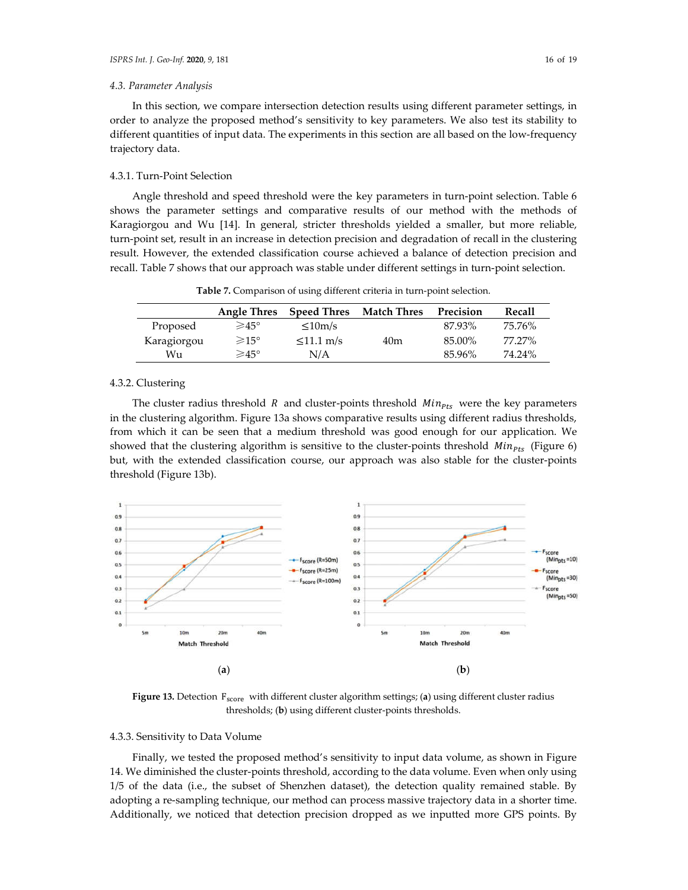# *4.3. Parameter Analysis*

In this section, we compare intersection detection results using different parameter settings, in order to analyze the proposed method's sensitivity to key parameters. We also test its stability to different quantities of input data. The experiments in this section are all based on the low-frequency trajectory data.

# 4.3.1. Turn-Point Selection

Angle threshold and speed threshold were the key parameters in turn-point selection. Table 6 shows the parameter settings and comparative results of our method with the methods of Karagiorgou and Wu [14]. In general, stricter thresholds yielded a smaller, but more reliable, turn-point set, result in an increase in detection precision and degradation of recall in the clustering result. However, the extended classification course achieved a balance of detection precision and recall. Table 7 shows that our approach was stable under different settings in turn-point selection.

|             | Angle Thres       | <b>Speed Thres</b> | <b>Match Thres</b> | Precision | Recall |
|-------------|-------------------|--------------------|--------------------|-----------|--------|
| Proposed    | $≥45^{\circ}$     | $\leq 10$ m/s      |                    | 87.93%    | 75.76% |
| Karagiorgou | $\geq 15^{\circ}$ | $\leq 11.1$ m/s    | 40m                | 85.00%    | 77.27% |
| Wu          | $≥45^{\circ}$     | N/A                |                    | 85.96%    | 74.24% |

**Table 7.** Comparison of using different criteria in turn-point selection.

# 4.3.2. Clustering

The cluster radius threshold  $R$  and cluster-points threshold  $Min_{PLs}$  were the key parameters in the clustering algorithm. Figure 13a shows comparative results using different radius thresholds, from which it can be seen that a medium threshold was good enough for our application. We showed that the clustering algorithm is sensitive to the cluster-points threshold  $Min_{pts}$  (Figure 6) but, with the extended classification course, our approach was also stable for the cluster-points threshold (Figure 13b).



Figure 13. Detection F<sub>score</sub> with different cluster algorithm settings; (a) using different cluster radius thresholds; (**b**) using different cluster-points thresholds.

# 4.3.3. Sensitivity to Data Volume

Finally, we tested the proposed method's sensitivity to input data volume, as shown in Figure 14. We diminished the cluster-points threshold, according to the data volume. Even when only using 1/5 of the data (i.e., the subset of Shenzhen dataset), the detection quality remained stable. By adopting a re-sampling technique, our method can process massive trajectory data in a shorter time. Additionally, we noticed that detection precision dropped as we inputted more GPS points. By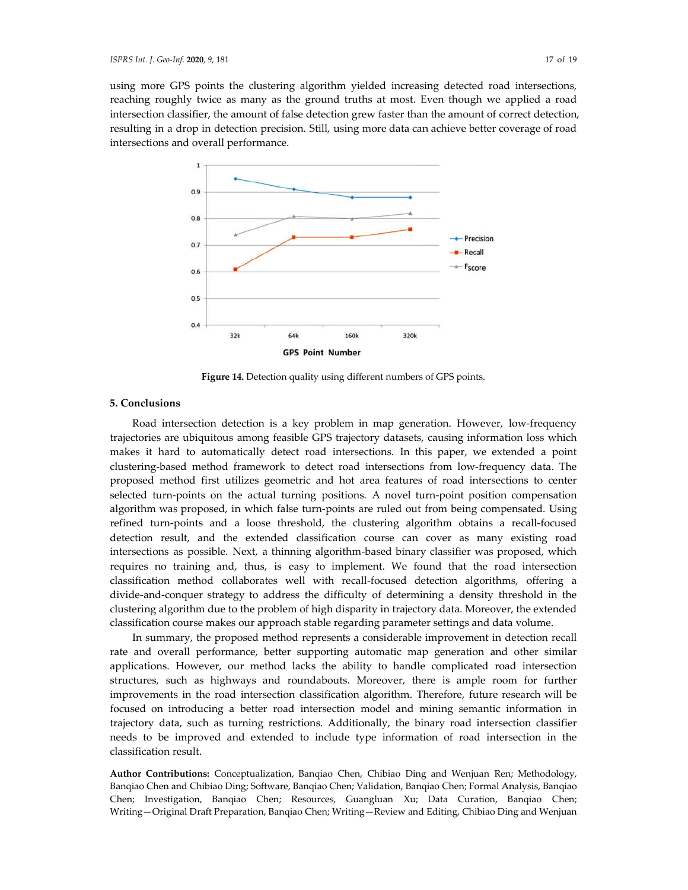using more GPS points the clustering algorithm yielded increasing detected road intersections, reaching roughly twice as many as the ground truths at most. Even though we applied a road intersection classifier, the amount of false detection grew faster than the amount of correct detection, resulting in a drop in detection precision. Still, using more data can achieve better coverage of road intersections and overall performance.



**Figure 14.** Detection quality using different numbers of GPS points.

#### **5. Conclusions**

Road intersection detection is a key problem in map generation. However, low-frequency trajectories are ubiquitous among feasible GPS trajectory datasets, causing information loss which makes it hard to automatically detect road intersections. In this paper, we extended a point clustering-based method framework to detect road intersections from low-frequency data. The proposed method first utilizes geometric and hot area features of road intersections to center selected turn-points on the actual turning positions. A novel turn-point position compensation algorithm was proposed, in which false turn-points are ruled out from being compensated. Using refined turn-points and a loose threshold, the clustering algorithm obtains a recall-focused detection result, and the extended classification course can cover as many existing road intersections as possible. Next, a thinning algorithm-based binary classifier was proposed, which requires no training and, thus, is easy to implement. We found that the road intersection classification method collaborates well with recall-focused detection algorithms, offering a divide-and-conquer strategy to address the difficulty of determining a density threshold in the clustering algorithm due to the problem of high disparity in trajectory data. Moreover, the extended classification course makes our approach stable regarding parameter settings and data volume.

In summary, the proposed method represents a considerable improvement in detection recall rate and overall performance, better supporting automatic map generation and other similar applications. However, our method lacks the ability to handle complicated road intersection structures, such as highways and roundabouts. Moreover, there is ample room for further improvements in the road intersection classification algorithm. Therefore, future research will be focused on introducing a better road intersection model and mining semantic information in trajectory data, such as turning restrictions. Additionally, the binary road intersection classifier needs to be improved and extended to include type information of road intersection in the classification result.

**Author Contributions:** Conceptualization, Banqiao Chen, Chibiao Ding and Wenjuan Ren; Methodology, Banqiao Chen and Chibiao Ding; Software, Banqiao Chen; Validation, Banqiao Chen; Formal Analysis, Banqiao Chen; Investigation, Banqiao Chen; Resources, Guangluan Xu; Data Curation, Banqiao Chen; Writing—Original Draft Preparation, Banqiao Chen; Writing—Review and Editing, Chibiao Ding and Wenjuan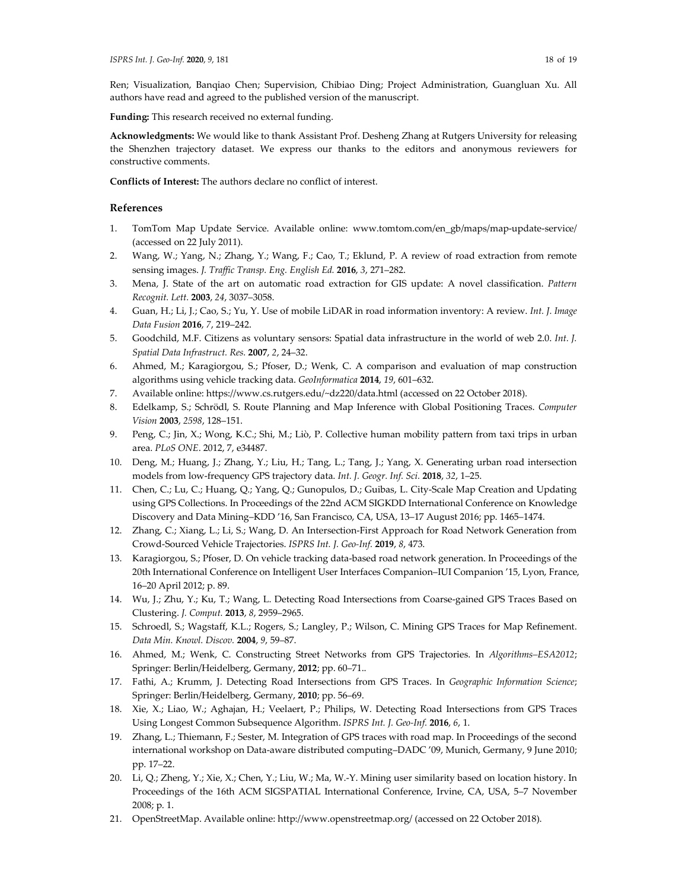Ren; Visualization, Banqiao Chen; Supervision, Chibiao Ding; Project Administration, Guangluan Xu. All authors have read and agreed to the published version of the manuscript.

**Funding:** This research received no external funding.

**Acknowledgments:** We would like to thank Assistant Prof. Desheng Zhang at Rutgers University for releasing the Shenzhen trajectory dataset. We express our thanks to the editors and anonymous reviewers for constructive comments.

**Conflicts of Interest:** The authors declare no conflict of interest.

# **References**

- 1. TomTom Map Update Service. Available online: www.tomtom.com/en\_gb/maps/map-update-service/ (accessed on 22 July 2011).
- 2. Wang, W.; Yang, N.; Zhang, Y.; Wang, F.; Cao, T.; Eklund, P. A review of road extraction from remote sensing images. *J. Traffic Transp. Eng. English Ed.* **2016**, *3*, 271–282.
- 3. Mena, J. State of the art on automatic road extraction for GIS update: A novel classification. *Pattern Recognit. Lett.* **2003**, *24*, 3037–3058.
- 4. Guan, H.; Li, J.; Cao, S.; Yu, Y. Use of mobile LiDAR in road information inventory: A review. *Int. J. Image Data Fusion* **2016**, *7*, 219–242.
- 5. Goodchild, M.F. Citizens as voluntary sensors: Spatial data infrastructure in the world of web 2.0. *Int. J. Spatial Data Infrastruct. Res.* **2007**, *2*, 24–32.
- 6. Ahmed, M.; Karagiorgou, S.; Pfoser, D.; Wenk, C. A comparison and evaluation of map construction algorithms using vehicle tracking data. *GeoInformatica* **2014**, *19*, 601–632.
- 7. Available online: https://www.cs.rutgers.edu/~dz220/data.html (accessed on 22 October 2018).
- 8. Edelkamp, S.; Schrödl, S. Route Planning and Map Inference with Global Positioning Traces. *Computer Vision* **2003**, *2598*, 128–151.
- 9. Peng, C.; Jin, X.; Wong, K.C.; Shi, M.; Liò, P. Collective human mobility pattern from taxi trips in urban area. *PLoS ONE*. 2012, 7, e34487.
- 10. Deng, M.; Huang, J.; Zhang, Y.; Liu, H.; Tang, L.; Tang, J.; Yang, X. Generating urban road intersection models from low-frequency GPS trajectory data. *Int. J. Geogr. Inf. Sci.* **2018**, *32*, 1–25.
- 11. Chen, C.; Lu, C.; Huang, Q.; Yang, Q.; Gunopulos, D.; Guibas, L. City-Scale Map Creation and Updating using GPS Collections. In Proceedings of the 22nd ACM SIGKDD International Conference on Knowledge Discovery and Data Mining–KDD '16, San Francisco, CA, USA, 13–17 August 2016; pp. 1465–1474.
- 12. Zhang, C.; Xiang, L.; Li, S.; Wang, D. An Intersection-First Approach for Road Network Generation from Crowd-Sourced Vehicle Trajectories. *ISPRS Int. J. Geo-Inf.* **2019**, *8*, 473.
- 13. Karagiorgou, S.; Pfoser, D. On vehicle tracking data-based road network generation. In Proceedings of the 20th International Conference on Intelligent User Interfaces Companion–IUI Companion '15, Lyon, France, 16–20 April 2012; p. 89.
- 14. Wu, J.; Zhu, Y.; Ku, T.; Wang, L. Detecting Road Intersections from Coarse-gained GPS Traces Based on Clustering. *J. Comput.* **2013**, *8*, 2959–2965.
- 15. Schroedl, S.; Wagstaff, K.L.; Rogers, S.; Langley, P.; Wilson, C. Mining GPS Traces for Map Refinement. *Data Min. Knowl. Discov.* **2004**, *9*, 59–87.
- 16. Ahmed, M.; Wenk, C. Constructing Street Networks from GPS Trajectories. In *Algorithms–ESA2012*; Springer: Berlin/Heidelberg, Germany, **2012**; pp. 60–71..
- 17. Fathi, A.; Krumm, J. Detecting Road Intersections from GPS Traces. In *Geographic Information Science*; Springer: Berlin/Heidelberg, Germany, **2010**; pp. 56–69.
- 18. Xie, X.; Liao, W.; Aghajan, H.; Veelaert, P.; Philips, W. Detecting Road Intersections from GPS Traces Using Longest Common Subsequence Algorithm. *ISPRS Int. J. Geo-Inf.* **2016**, *6*, 1.
- 19. Zhang, L.; Thiemann, F.; Sester, M. Integration of GPS traces with road map. In Proceedings of the second international workshop on Data-aware distributed computing–DADC '09, Munich, Germany, 9 June 2010; pp. 17–22.
- 20. Li, Q.; Zheng, Y.; Xie, X.; Chen, Y.; Liu, W.; Ma, W.-Y. Mining user similarity based on location history. In Proceedings of the 16th ACM SIGSPATIAL International Conference, Irvine, CA, USA, 5–7 November 2008; p. 1.
- 21. OpenStreetMap. Available online: http://www.openstreetmap.org/ (accessed on 22 October 2018).